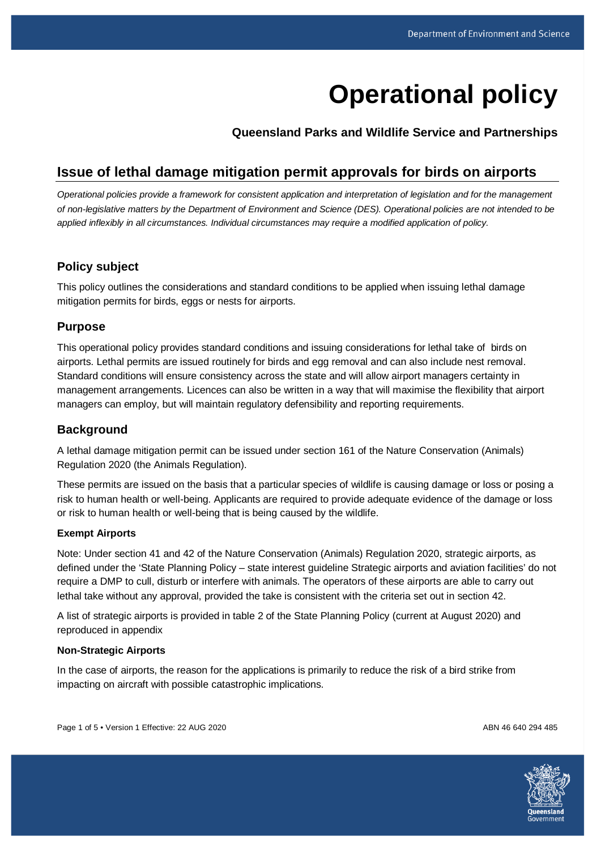# **Operational policy**

**Queensland Parks and Wildlife Service and Partnerships**

# **Issue of lethal damage mitigation permit approvals for birds on airports**

*Operational policies provide a framework for consistent application and interpretation of legislation and for the management of non-legislative matters by the Department of Environment and Science (DES). Operational policies are not intended to be applied inflexibly in all circumstances. Individual circumstances may require a modified application of policy.*

### **Policy subject**

This policy outlines the considerations and standard conditions to be applied when issuing lethal damage mitigation permits for birds, eggs or nests for airports.

#### **Purpose**

This operational policy provides standard conditions and issuing considerations for lethal take of birds on airports. Lethal permits are issued routinely for birds and egg removal and can also include nest removal. Standard conditions will ensure consistency across the state and will allow airport managers certainty in management arrangements. Licences can also be written in a way that will maximise the flexibility that airport managers can employ, but will maintain regulatory defensibility and reporting requirements.

### **Background**

A lethal damage mitigation permit can be issued under section 161 of the Nature Conservation (Animals) Regulation 2020 (the Animals Regulation).

These permits are issued on the basis that a particular species of wildlife is causing damage or loss or posing a risk to human health or well-being. Applicants are required to provide adequate evidence of the damage or loss or risk to human health or well-being that is being caused by the wildlife.

#### **Exempt Airports**

Note: Under section 41 and 42 of the Nature Conservation (Animals) Regulation 2020, strategic airports, as defined under the 'State Planning Policy – state interest guideline Strategic airports and aviation facilities' do not require a DMP to cull, disturb or interfere with animals. The operators of these airports are able to carry out lethal take without any approval, provided the take is consistent with the criteria set out in section 42.

A list of strategic airports is provided in table 2 of the State Planning Policy (current at August 2020) and reproduced in appendix

#### **Non-Strategic Airports**

In the case of airports, the reason for the applications is primarily to reduce the risk of a bird strike from impacting on aircraft with possible catastrophic implications.

Page 1 of 5 • Version 1 Effective: 22 AUG 2020 ABN 46 640 294 485

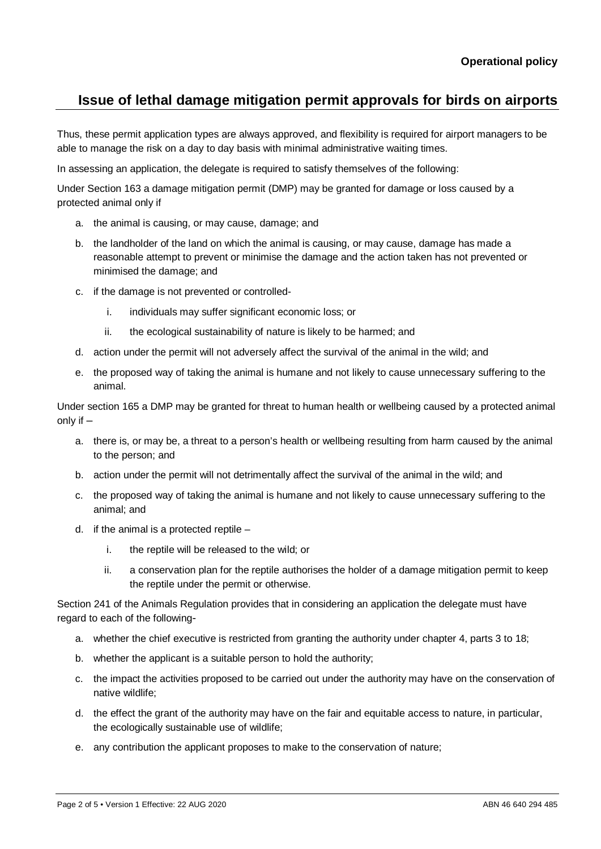Thus, these permit application types are always approved, and flexibility is required for airport managers to be able to manage the risk on a day to day basis with minimal administrative waiting times.

In assessing an application, the delegate is required to satisfy themselves of the following:

Under Section 163 a damage mitigation permit (DMP) may be granted for damage or loss caused by a protected animal only if

- a. the animal is causing, or may cause, damage; and
- b. the landholder of the land on which the animal is causing, or may cause, damage has made a reasonable attempt to prevent or minimise the damage and the action taken has not prevented or minimised the damage; and
- c. if the damage is not prevented or controlled
	- i. individuals may suffer significant economic loss; or
	- ii. the ecological sustainability of nature is likely to be harmed; and
- d. action under the permit will not adversely affect the survival of the animal in the wild; and
- e. the proposed way of taking the animal is humane and not likely to cause unnecessary suffering to the animal.

Under section 165 a DMP may be granted for threat to human health or wellbeing caused by a protected animal only if  $-$ 

- a. there is, or may be, a threat to a person's health or wellbeing resulting from harm caused by the animal to the person; and
- b. action under the permit will not detrimentally affect the survival of the animal in the wild; and
- c. the proposed way of taking the animal is humane and not likely to cause unnecessary suffering to the animal; and
- d. if the animal is a protected reptile
	- i. the reptile will be released to the wild; or
	- ii. a conservation plan for the reptile authorises the holder of a damage mitigation permit to keep the reptile under the permit or otherwise.

Section 241 of the Animals Regulation provides that in considering an application the delegate must have regard to each of the following-

- a. whether the chief executive is restricted from granting the authority under chapter 4, parts 3 to 18;
- b. whether the applicant is a suitable person to hold the authority;
- c. the impact the activities proposed to be carried out under the authority may have on the conservation of native wildlife;
- d. the effect the grant of the authority may have on the fair and equitable access to nature, in particular, the ecologically sustainable use of wildlife;
- e. any contribution the applicant proposes to make to the conservation of nature;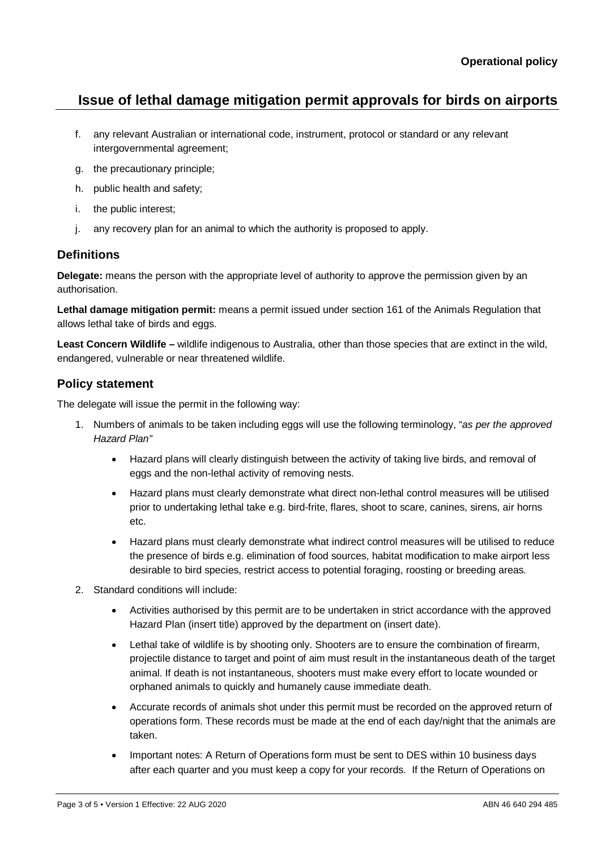- f. any relevant Australian or international code, instrument, protocol or standard or any relevant intergovernmental agreement;
- g. the precautionary principle;
- h. public health and safety;
- i. the public interest;
- j. any recovery plan for an animal to which the authority is proposed to apply.

## **Definitions**

**Delegate:** means the person with the appropriate level of authority to approve the permission given by an authorisation.

**Lethal damage mitigation permit:** means a permit issued under section 161 of the Animals Regulation that allows lethal take of birds and eggs.

**Least Concern Wildlife –** wildlife indigenous to Australia, other than those species that are extinct in the wild, endangered, vulnerable or near threatened wildlife.

## **Policy statement**

The delegate will issue the permit in the following way:

- 1. Numbers of animals to be taken including eggs will use the following terminology, "*as per the approved Hazard Plan"*
	- Hazard plans will clearly distinguish between the activity of taking live birds, and removal of eggs and the non-lethal activity of removing nests.
	- Hazard plans must clearly demonstrate what direct non-lethal control measures will be utilised prior to undertaking lethal take e.g. bird-frite, flares, shoot to scare, canines, sirens, air horns etc.
	- Hazard plans must clearly demonstrate what indirect control measures will be utilised to reduce the presence of birds e.g. elimination of food sources, habitat modification to make airport less desirable to bird species, restrict access to potential foraging, roosting or breeding areas.
- 2. Standard conditions will include:
	- Activities authorised by this permit are to be undertaken in strict accordance with the approved Hazard Plan (insert title) approved by the department on (insert date).
	- Lethal take of wildlife is by shooting only. Shooters are to ensure the combination of firearm, projectile distance to target and point of aim must result in the instantaneous death of the target animal. If death is not instantaneous, shooters must make every effort to locate wounded or orphaned animals to quickly and humanely cause immediate death.
	- Accurate records of animals shot under this permit must be recorded on the approved return of operations form. These records must be made at the end of each day/night that the animals are taken.
	- Important notes: A Return of Operations form must be sent to DES within 10 business days after each quarter and you must keep a copy for your records. If the Return of Operations on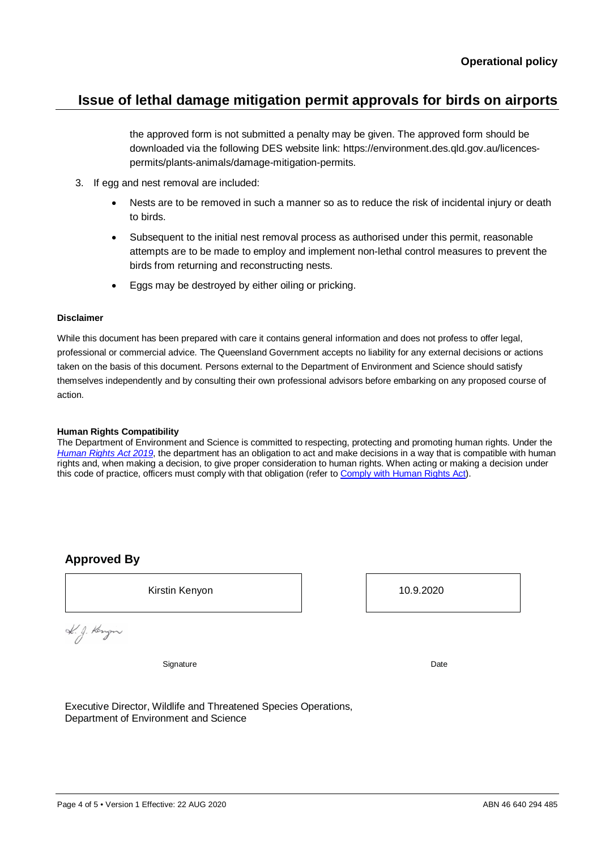the approved form is not submitted a penalty may be given. The approved form should be downloaded via the following DES website link: https://environment.des.qld.gov.au/licencespermits/plants-animals/damage-mitigation-permits.

- 3. If egg and nest removal are included:
	- Nests are to be removed in such a manner so as to reduce the risk of incidental injury or death to birds.
	- Subsequent to the initial nest removal process as authorised under this permit, reasonable attempts are to be made to employ and implement non-lethal control measures to prevent the birds from returning and reconstructing nests.
	- Eggs may be destroyed by either oiling or pricking.

#### **Disclaimer**

While this document has been prepared with care it contains general information and does not profess to offer legal, professional or commercial advice. The Queensland Government accepts no liability for any external decisions or actions taken on the basis of this document. Persons external to the Department of Environment and Science should satisfy themselves independently and by consulting their own professional advisors before embarking on any proposed course of action.

#### **Human Rights Compatibility**

The Department of Environment and Science is committed to respecting, protecting and promoting human rights. Under the *[Human Rights Act 2019](https://www.legislation.qld.gov.au/view/html/inforce/current/act-2019-005)*, the department has an obligation to act and make decisions in a way that is compatible with human rights and, when making a decision, to give proper consideration to human rights. When acting or making a decision under this code of practice, officers must comply with that obligation (refer t[o Comply with Human Rights Act\)](https://www.forgov.qld.gov.au/humanrights).

## **Approved By**

Kirstin Kenyon 10.9.2020

K.g. Kengn

Signature Date

Executive Director, Wildlife and Threatened Species Operations, Department of Environment and Science